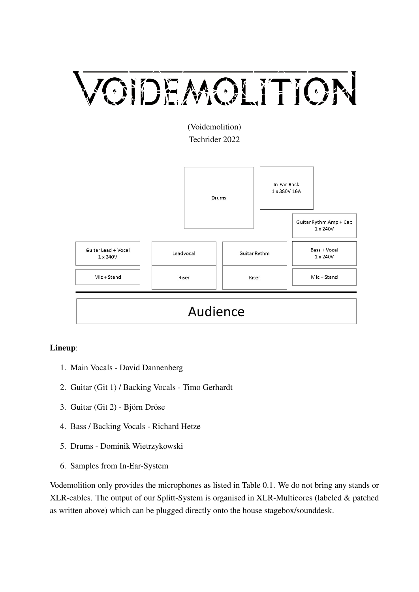# VOIDEMOLITION

(Voidemolition) Techrider 2022



## Audience

### Lineup:

- 1. Main Vocals David Dannenberg
- 2. Guitar (Git 1) / Backing Vocals Timo Gerhardt
- 3. Guitar (Git 2) Björn Dröse
- 4. Bass / Backing Vocals Richard Hetze
- 5. Drums Dominik Wietrzykowski
- 6. Samples from In-Ear-System

Vodemolition only provides the microphones as listed in [Table 0.1.](#page-1-0) We do not bring any stands or XLR-cables. The output of our Splitt-System is organised in XLR-Multicores (labeled & patched as written above) which can be plugged directly onto the house stagebox/sounddesk.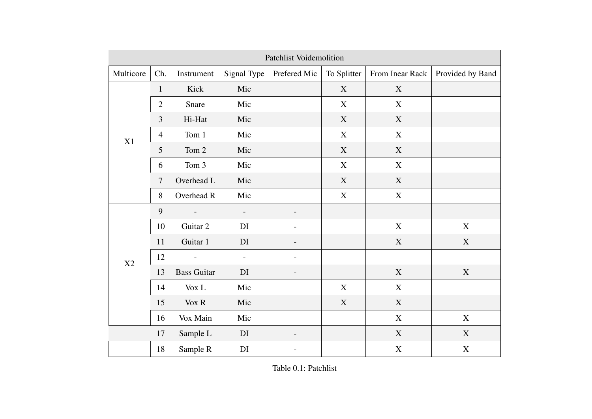<span id="page-1-0"></span>

| <b>Patchlist Voidemolition</b> |                |                             |                          |                          |             |                           |                  |
|--------------------------------|----------------|-----------------------------|--------------------------|--------------------------|-------------|---------------------------|------------------|
| Multicore                      | Ch.            | Instrument                  | Signal Type              | Prefered Mic             | To Splitter | From Inear Rack           | Provided by Band |
| X1                             | $\mathbf{1}$   | Kick                        | Mic                      |                          | $\mathbf X$ | $\boldsymbol{\mathrm{X}}$ |                  |
|                                | $\overline{2}$ | Snare                       | Mic                      |                          | X           | X                         |                  |
|                                | 3              | Hi-Hat                      | Mic                      |                          | $\mathbf X$ | $\mathbf X$               |                  |
|                                | $\overline{4}$ | Tom 1                       | Mic                      |                          | $\mathbf X$ | $\mathbf X$               |                  |
|                                | 5              | Tom 2                       | Mic                      |                          | $\mathbf X$ | $\mathbf X$               |                  |
|                                | 6              | Tom 3                       | Mic                      |                          | $\mathbf X$ | X                         |                  |
|                                | $\tau$         | Overhead L                  | Mic                      |                          | X           | X                         |                  |
|                                | $8\,$          | Overhead R                  | Mic                      |                          | $\mathbf X$ | $\mathbf X$               |                  |
| $\rm X2$                       | 9              | $\overline{\phantom{a}}$    | $\overline{\phantom{a}}$ |                          |             |                           |                  |
|                                | 10             | Guitar 2                    | DI                       |                          |             | $\mathbf X$               | $\mathbf X$      |
|                                | 11             | Guitar 1                    | DI                       |                          |             | $\mathbf X$               | $\mathbf X$      |
|                                | 12             | $\blacksquare$              | $\overline{\phantom{0}}$ | $\overline{\phantom{m}}$ |             |                           |                  |
|                                | 13             | <b>Bass Guitar</b>          | DI                       | $\overline{\phantom{a}}$ |             | $\mathbf X$               | $\mathbf X$      |
|                                | 14             | $\ensuremath{\text{Vox}}$ L | Mic                      |                          | $\mathbf X$ | $\boldsymbol{\mathrm{X}}$ |                  |
|                                | 15             | $\sqrt{\text{Vox} R}$       | Mic                      |                          | $\mathbf X$ | $\mathbf X$               |                  |
|                                | 16             | Vox Main                    | Mic                      |                          |             | $\mathbf X$               | $\mathbf X$      |
|                                | 17             | Sample L                    | DI                       |                          |             | $\mathbf X$               | $\mathbf X$      |
|                                | 18             | Sample R                    | DI                       |                          |             | $\boldsymbol{\mathrm{X}}$ | $\mathbf X$      |

Table 0.1: Patchlist